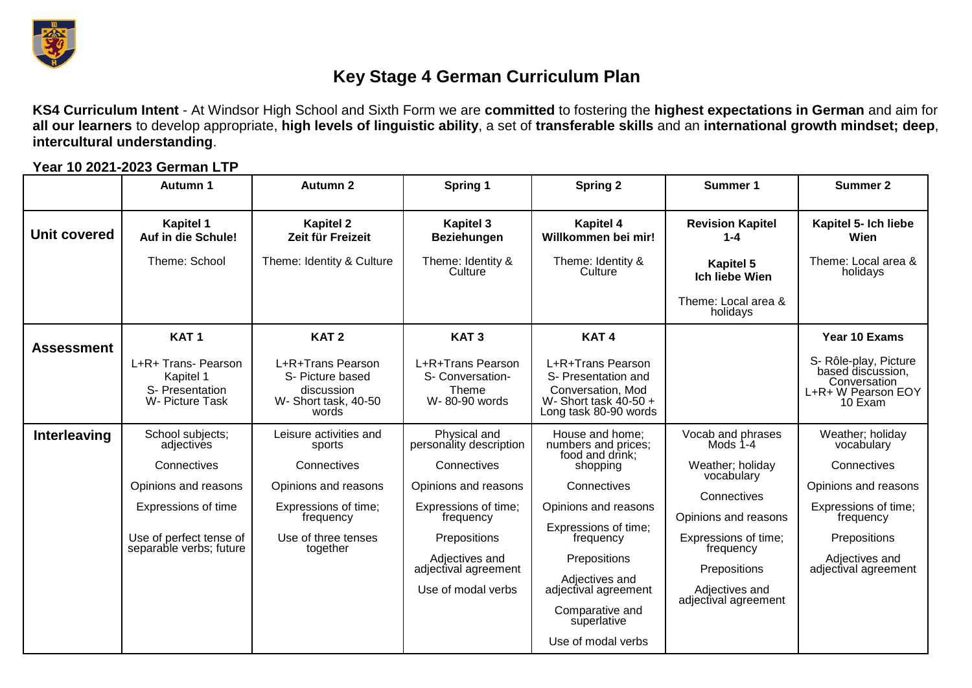

## **Key Stage 4 German Curriculum Plan**

**KS4 Curriculum Intent** - At Windsor High School and Sixth Form we are **committed** to fostering the **highest expectations in German** and aim for **all our learners** to develop appropriate, **high levels of linguistic ability**, a set of **transferable skills** and an **international growth mindset; deep**, **intercultural understanding**.

|                     | <b>Autumn 1</b>                                                                                                                | <b>Autumn 2</b>                                                                                                       | Spring 1                                                                                                                                                                            | <b>Spring 2</b>                                                                                                                                                                                                            | Summer 1                                                                                                                                                                         | <b>Summer 2</b>                                                                                                                                  |
|---------------------|--------------------------------------------------------------------------------------------------------------------------------|-----------------------------------------------------------------------------------------------------------------------|-------------------------------------------------------------------------------------------------------------------------------------------------------------------------------------|----------------------------------------------------------------------------------------------------------------------------------------------------------------------------------------------------------------------------|----------------------------------------------------------------------------------------------------------------------------------------------------------------------------------|--------------------------------------------------------------------------------------------------------------------------------------------------|
| <b>Unit covered</b> | <b>Kapitel 1</b><br>Auf in die Schule!                                                                                         | <b>Kapitel 2</b><br>Zeit für Freizeit                                                                                 | <b>Kapitel 3</b><br><b>Beziehungen</b>                                                                                                                                              | <b>Kapitel 4</b><br>Willkommen bei mir!                                                                                                                                                                                    | <b>Revision Kapitel</b><br>$1 - 4$                                                                                                                                               | Kapitel 5- Ich liebe<br>Wien                                                                                                                     |
|                     | Theme: School                                                                                                                  | Theme: Identity & Culture                                                                                             | Theme: Identity &<br>Culture                                                                                                                                                        | Theme: Identity &<br>Culture                                                                                                                                                                                               | <b>Kapitel 5</b><br><b>Ich liebe Wien</b>                                                                                                                                        | Theme: Local area &<br>holidays                                                                                                                  |
|                     |                                                                                                                                |                                                                                                                       |                                                                                                                                                                                     |                                                                                                                                                                                                                            | Theme: Local area &<br>holidays                                                                                                                                                  |                                                                                                                                                  |
| <b>Assessment</b>   | KAT <sub>1</sub>                                                                                                               | KAT <sub>2</sub>                                                                                                      | KAT <sub>3</sub>                                                                                                                                                                    | KAT <sub>4</sub>                                                                                                                                                                                                           |                                                                                                                                                                                  | Year 10 Exams                                                                                                                                    |
|                     | L+R+ Trans- Pearson<br>Kapitel 1<br>S- Presentation<br>W- Picture Task                                                         | L+R+Trans Pearson<br>S- Picture based<br>discussion<br>W- Short task, 40-50<br>words                                  | L+R+Trans Pearson<br>S- Conversation-<br>Theme<br>W-80-90 words                                                                                                                     | L+R+Trans Pearson<br>S- Presentation and<br>Conversation, Mod<br>W-Short task $40-50+$<br>Long task 80-90 words                                                                                                            |                                                                                                                                                                                  | S- Rôle-play, Picture<br>based discussion,<br>Conversation<br>L+R+ W Pearson EOY<br>10 Exam                                                      |
| Interleaving        | School subjects;                                                                                                               | Leisure activities and                                                                                                | Physical and                                                                                                                                                                        | House and home;                                                                                                                                                                                                            | Vocab and phrases                                                                                                                                                                | Weather; holiday                                                                                                                                 |
|                     | adjectives<br>Connectives<br>Opinions and reasons<br>Expressions of time<br>Use of perfect tense of<br>separable verbs; future | sports<br>Connectives<br>Opinions and reasons<br>Expressions of time;<br>frequency<br>Use of three tenses<br>together | personality description<br>Connectives<br>Opinions and reasons<br>Expressions of time;<br>frequency<br>Prepositions<br>Adjectives and<br>adjectival agreement<br>Use of modal verbs | numbers and prices;<br>food and drink;<br>shopping<br>Connectives<br>Opinions and reasons<br>Expressions of time;<br>frequency<br>Prepositions<br>Adjectives and<br>adjectival agreement<br>Comparative and<br>superlative | Mods 1-4<br>Weather; holiday<br>vocabulary<br>Connectives<br>Opinions and reasons<br>Expressions of time;<br>frequency<br>Prepositions<br>Adjectives and<br>adjectival agreement | vocabulary<br>Connectives<br>Opinions and reasons<br>Expressions of time;<br>frequency<br>Prepositions<br>Adjectives and<br>adjectival agreement |
|                     |                                                                                                                                |                                                                                                                       |                                                                                                                                                                                     | Use of modal verbs                                                                                                                                                                                                         |                                                                                                                                                                                  |                                                                                                                                                  |

**Year 10 2021-2023 German LTP**